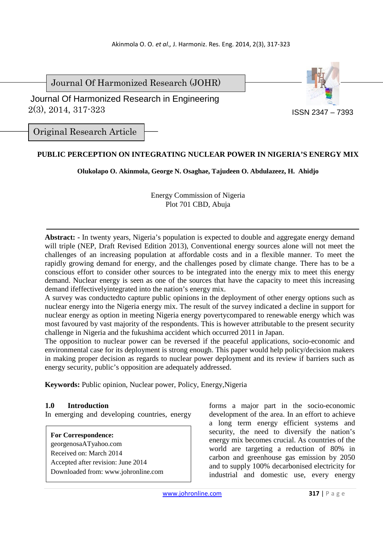Journal Of Harmonized Research (JOHR)



 2(3), 2014, 317-323 Journal Of Harmonized Research in Engineering

Original Research Article

# **PUBLIC PERCEPTION ON INTEGRATING NUCLEAR POWER IN NIGERIA'S ENERGY MIX**

**Olukolapo O. Akinmola, George N. Osaghae, Tajudeen O. Abdulazeez, H. Ahidjo** 

Energy Commission of Nigeria Plot 701 CBD, Abuja

**Abstract: -** In twenty years, Nigeria's population is expected to double and aggregate energy demand will triple (NEP, Draft Revised Edition 2013), Conventional energy sources alone will not meet the challenges of an increasing population at affordable costs and in a flexible manner. To meet the rapidly growing demand for energy, and the challenges posed by climate change. There has to be a conscious effort to consider other sources to be integrated into the energy mix to meet this energy demand. Nuclear energy is seen as one of the sources that have the capacity to meet this increasing demand ifeffectivelyintegrated into the nation's energy mix.

A survey was conductedto capture public opinions in the deployment of other energy options such as nuclear energy into the Nigeria energy mix. The result of the survey indicated a decline in support for nuclear energy as option in meeting Nigeria energy povertycompared to renewable energy which was most favoured by vast majority of the respondents. This is however attributable to the present security challenge in Nigeria and the fukushima accident which occurred 2011 in Japan.

The opposition to nuclear power can be reversed if the peaceful applications, socio-economic and environmental case for its deployment is strong enough. This paper would help policy/decision makers in making proper decision as regards to nuclear power deployment and its review if barriers such as energy security, public's opposition are adequately addressed.

**Keywords:** Public opinion, Nuclear power, Policy, Energy,Nigeria

#### **1.0 Introduction**

In emerging and developing countries, energy

**For Correspondence:**  georgenosaATyahoo.com Received on: March 2014 Accepted after revision: June 2014 Downloaded from: www.johronline.com

forms a major part in the socio-economic development of the area. In an effort to achieve a long term energy efficient systems and security, the need to diversify the nation's energy mix becomes crucial. As countries of the world are targeting a reduction of 80% in carbon and greenhouse gas emission by 2050 and to supply 100% decarbonised electricity for industrial and domestic use, every energy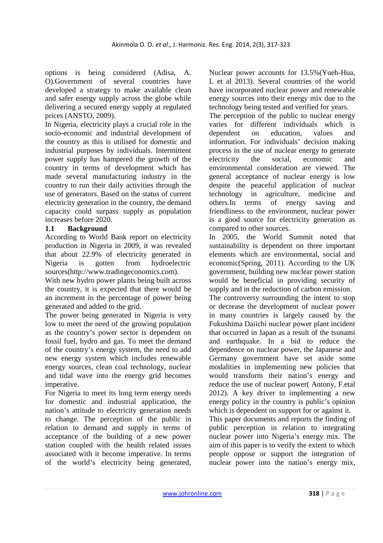options is being considered (Adisa, A. O).Government of several countries have developed a strategy to make available clean and safer energy supply across the globe while delivering a secured energy supply at regulated prices (ANSTO, 2009).

In Nigeria, electricity plays a crucial role in the socio-economic and industrial development of the country as this is utilised for domestic and industrial purposes by individuals. Intermittent power supply has hampered the growth of the country in terms of development which has made several manufacturing industry in the country to run their daily activities through the use of generators. Based on the status of current electricity generation in the country, the demand capacity could surpass supply as population increases before 2020.

# **1.1 Background**

According to World Bank report on electricity production in Nigeria in 2009, it was revealed that about 22.9% of electricity generated in Nigeria is gotten from hydroelectric sources(http://www.tradingeconomics.com).

With new hydro power plants being built across the country, it is expected that there would be an increment in the percentage of power being generated and added to the grid.

The power being generated in Nigeria is very low to meet the need of the growing population as the country's power sector is dependent on fossil fuel, hydro and gas. To meet the demand of the country's energy system, the need to add new energy system which includes renewable energy sources, clean coal technology, nuclear and tidal wave into the energy grid becomes imperative.

For Nigeria to meet its long term energy needs for domestic and industrial application, the nation's attitude to electricity generation needs to change. The perception of the public in relation to demand and supply in terms of acceptance of the building of a new power station coupled with the health related issues associated with it become imperative. In terms of the world's electricity being generated,

Nuclear power accounts for 13.5%(Yueh-Hua, L et al 2013). Several countries of the world have incorporated nuclear power and renewable energy sources into their energy mix due to the technology being tested and verified for years.

The perception of the public to nuclear energy varies for different individuals which is dependent on education, values and information. For individuals' decision making process in the use of nuclear energy to generate electricity the social, economic and environmental consideration are viewed. The general acceptance of nuclear energy is low despite the peaceful application of nuclear technology in agriculture, medicine and others.In terms of energy saving and friendliness to the environment, nuclear power is a good source for electricity generation as compared to other sources.

In 2005, the World Summit noted that sustainability is dependent on three important elements which are environmental, social and economic(Spring, 2011). According to the UK government, building new nuclear power station would be beneficial in providing security of supply and in the reduction of carbon emission.

The controversy surrounding the intent to stop or decrease the development of nuclear power in many countries is largely caused by the Fukushima Daiichi nuclear power plant incident that occurred in Japan as a result of the tsunami and earthquake. In a bid to reduce the dependence on nuclear power, the Japanese and Germany government have set aside some modalities in implementing new policies that would transform their nation's energy and reduce the use of nuclear power( Antony, F.etal 2012). A key driver to implementing a new energy policy in the country is public's opinion which is dependent on support for or against it.

This paper documents and reports the finding of public perception in relation to integrating nuclear power into Nigeria's energy mix. The aim of this paper is to verify the extent to which people oppose or support the integration of nuclear power into the nation's energy mix,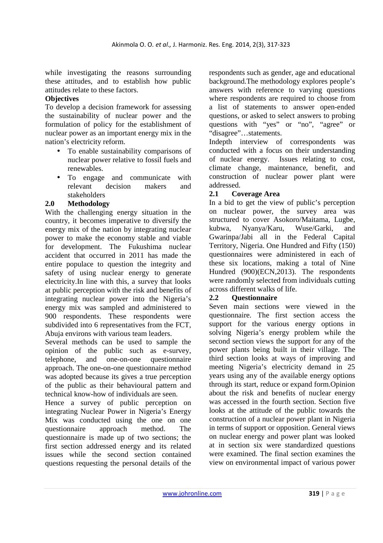while investigating the reasons surrounding these attitudes, and to establish how public attitudes relate to these factors.

# **Objectives**

To develop a decision framework for assessing the sustainability of nuclear power and the formulation of policy for the establishment of nuclear power as an important energy mix in the nation's electricity reform.

- To enable sustainability comparisons of nuclear power relative to fossil fuels and renewables.
- To engage and communicate with relevant decision makers and stakeholders

### **2.0 Methodology**

With the challenging energy situation in the country, it becomes imperative to diversify the energy mix of the nation by integrating nuclear power to make the economy stable and viable for development. The Fukushima nuclear accident that occurred in 2011 has made the entire populace to question the integrity and safety of using nuclear energy to generate electricity.In line with this, a survey that looks at public perception with the risk and benefits of integrating nuclear power into the Nigeria's energy mix was sampled and administered to 900 respondents. These respondents were subdivided into 6 representatives from the FCT, Abuja environs with various team leaders.

Several methods can be used to sample the opinion of the public such as e-survey, telephone, and one-on-one questionnaire approach. The one-on-one questionnaire method was adopted because its gives a true perception of the public as their behavioural pattern and technical know-how of individuals are seen.

Hence a survey of public perception on integrating Nuclear Power in Nigeria's Energy Mix was conducted using the one on one questionnaire approach method. The questionnaire is made up of two sections; the first section addressed energy and its related issues while the second section contained questions requesting the personal details of the

respondents such as gender, age and educational background.The methodology explores people's answers with reference to varying questions where respondents are required to choose from a list of statements to answer open-ended questions, or asked to select answers to probing questions with "yes" or "no", "agree" or "disagree"…statements.

Indepth interview of correspondents was conducted with a focus on their understanding of nuclear energy. Issues relating to cost, climate change, maintenance, benefit, and construction of nuclear power plant were addressed.

### **2.1 Coverage Area**

In a bid to get the view of public's perception on nuclear power, the survey area was structured to cover Asokoro/Maitama, Lugbe, kubwa, Nyanya/Karu, Wuse/Garki, and Gwarinpa/Jabi all in the Federal Capital Territory, Nigeria. One Hundred and Fifty (150) questionnaires were administered in each of these six locations, making a total of Nine Hundred (900)(ECN,2013). The respondents were randomly selected from individuals cutting across different walks of life.

# **2.2 Questionnaire**

Seven main sections were viewed in the questionnaire. The first section access the support for the various energy options in solving Nigeria's energy problem while the second section views the support for any of the power plants being built in their village. The third section looks at ways of improving and meeting Nigeria's electricity demand in 25 years using any of the available energy options through its start, reduce or expand form.Opinion about the risk and benefits of nuclear energy was accessed in the fourth section. Section five looks at the attitude of the public towards the construction of a nuclear power plant in Nigeria in terms of support or opposition. General views on nuclear energy and power plant was looked at in section six were standardized questions were examined. The final section examines the view on environmental impact of various power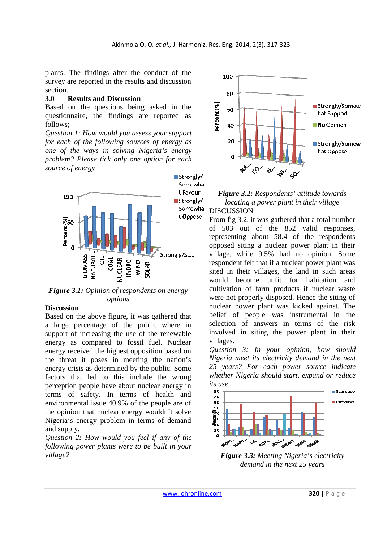plants. The findings after the conduct of the survey are reported in the results and discussion section.

#### **3.0 Results and Discussion**

Based on the questions being asked in the questionnaire, the findings are reported as follows;

*Question 1: How would you assess your support for each of the following sources of energy as one of the ways in solving Nigeria's energy problem? Please tick only one option for each source of energy* 



*Figure 3.1: Opinion of respondents on energy options* 

#### **Discussion**

Based on the above figure, it was gathered that a large percentage of the public where in support of increasing the use of the renewable energy as compared to fossil fuel. Nuclear energy received the highest opposition based on the threat it poses in meeting the nation's energy crisis as determined by the public. Some factors that led to this include the wrong perception people have about nuclear energy in terms of safety. In terms of health and environmental issue 40.9% of the people are of the opinion that nuclear energy wouldn't solve Nigeria's energy problem in terms of demand and supply.

*Question 2: How would you feel if any of the following power plants were to be built in your village?*





From fig 3.2, it was gathered that a total number of 503 out of the 852 valid responses, representing about 58.4 of the respondents opposed siting a nuclear power plant in their village, while 9.5% had no opinion. Some respondent felt that if a nuclear power plant was sited in their villages, the land in such areas would become unfit for habitation and cultivation of farm products if nuclear waste were not properly disposed. Hence the siting of nuclear power plant was kicked against. The belief of people was instrumental in the selection of answers in terms of the risk involved in siting the power plant in their villages.

*Question 3: In your opinion, how should Nigeria meet its electricity demand in the next 25 years? For each power source indicate whether Nigeria should start, expand or reduce its use* 



*Figure 3.3: Meeting Nigeria's electricity demand in the next 25 years*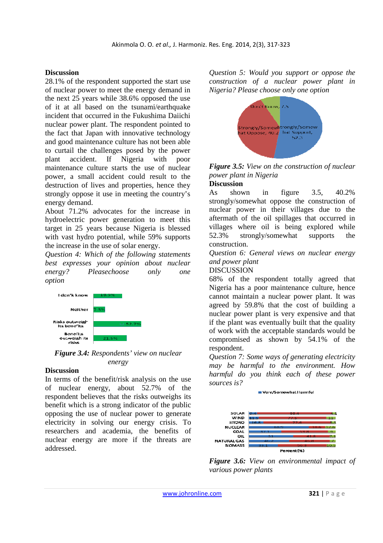#### **Discussion**

28.1% of the respondent supported the start use of nuclear power to meet the energy demand in the next 25 years while 38.6% opposed the use of it at all based on the tsunami/earthquake incident that occurred in the Fukushima Daiichi nuclear power plant. The respondent pointed to the fact that Japan with innovative technology and good maintenance culture has not been able to curtail the challenges posed by the power plant accident. If Nigeria with poor maintenance culture starts the use of nuclear power, a small accident could result to the destruction of lives and properties, hence they strongly oppose it use in meeting the country's energy demand.

About 71.2% advocates for the increase in hydroelectric power generation to meet this target in 25 years because Nigeria is blessed with vast hydro potential, while 59% supports the increase in the use of solar energy.

*Question 4: Which of the following statements best expresses your opinion about nuclear energy? Pleasechoose only one option*



*Figure 3.4: Respondents' view on nuclear energy* 

#### **Discussion**

In terms of the benefit/risk analysis on the use of nuclear energy, about 52.7% of the respondent believes that the risks outweighs its benefit which is a strong indicator of the public opposing the use of nuclear power to generate electricity in solving our energy crisis. To researchers and academia, the benefits of nuclear energy are more if the threats are addressed.

*Question 5: Would you support or oppose the construction of a nuclear power plant in Nigeria? Please choose only one option* 



*Figure 3.5: View on the construction of nuclear power plant in Nigeria* 

# **Discussion**

As shown in figure 3.5, 40.2% strongly/somewhat oppose the construction of nuclear power in their villages due to the aftermath of the oil spillages that occurred in villages where oil is being explored while 52.3% strongly/somewhat supports the construction.

*Question 6: General views on nuclear energy and power plant*

DISCUSSION

68% of the respondent totally agreed that Nigeria has a poor maintenance culture, hence cannot maintain a nuclear power plant. It was agreed by 59.8% that the cost of building a nuclear power plant is very expensive and that if the plant was eventually built that the quality of work with the acceptable standards would be compromised as shown by 54.1% of the respondent.

*Question 7: Some ways of generating electricity may be harmful to the environment. How harmful do you think each of these power sources is?*

Very/Somewhat Harmful



*Figure 3.6: View on environmental impact of various power plants*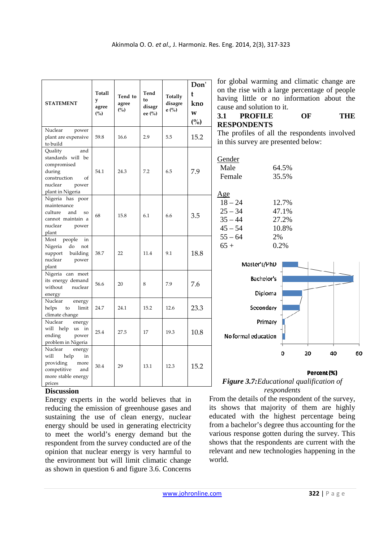| <b>STATEMENT</b>                                                                                                           | Totall<br>y<br>agree<br>(%) | Tend to<br>agree<br>(%) | Tend<br>to<br>disagr<br>ee (%) | Totally<br>disagre<br>e(%) | Don'<br>t<br>kno<br>W<br>(%) | for global warming and climatic change are<br>on the rise with a large percentage of people<br>having little or no information about the<br>cause and solution to it.<br>3.1<br><b>PROFILE</b><br>OF<br><b>THE</b><br><b>RESPONDENTS</b> |
|----------------------------------------------------------------------------------------------------------------------------|-----------------------------|-------------------------|--------------------------------|----------------------------|------------------------------|------------------------------------------------------------------------------------------------------------------------------------------------------------------------------------------------------------------------------------------|
| Nuclear<br>power<br>plant are expensive<br>to build                                                                        | 59.8                        | 16.6                    | 2.9                            | 5.5                        | 15.2                         | The profiles of all the respondents involved<br>in this survey are presented below:                                                                                                                                                      |
| Quality<br>and<br>standards will be<br>compromised<br>during<br>construction<br>of<br>nuclear<br>power<br>plant in Nigeria | 54.1                        | 24.3                    | 7.2                            | 6.5                        | 7.9                          | Gender<br>Male<br>64.5%<br>Female<br>35.5%<br>$\underline{Age}$                                                                                                                                                                          |
| Nigeria has poor<br>maintenance<br>and<br>culture<br><sub>SO</sub><br>cannot maintain a<br>nuclear<br>power<br>plant       | 68                          | 15.8                    | 6.1                            | 6.6                        | 3.5                          | $18 - 24$<br>12.7%<br>$25 - 34$<br>47.1%<br>$35 - 44$<br>27.2%<br>$45 - 54$<br>10.8%                                                                                                                                                     |
| people<br>Most<br>in<br>Nigeria<br>do<br>not<br>building<br>support<br>nuclear<br>power<br>plant                           | 38.7                        | 22                      | 11.4                           | 9.1                        | 18.8                         | $55 - 64$<br>2%<br>$65+$<br>0.2%<br>Master's/PhD                                                                                                                                                                                         |
| Nigeria can meet<br>its energy demand<br>without<br>nuclear<br>energy                                                      | 56.6                        | 20                      | 8                              | 7.9                        | 7.6                          | Bachelor's<br>Diploma                                                                                                                                                                                                                    |
| Nuclear<br>energy<br>helps<br>to<br>limit<br>climate change                                                                | 24.7                        | 24.1                    | 15.2                           | 12.6                       | 23.3                         | Secondary                                                                                                                                                                                                                                |
| Nuclear<br>energy<br>will help us in<br>ending<br>power<br>problem in Nigeria                                              | 25.4                        | 27.5                    | 17                             | 19.3                       | 10.8                         | Primary<br>No formal education                                                                                                                                                                                                           |
| Nuclear<br>energy<br>will<br>help<br>in<br>providing<br>more<br>competitive<br>and<br>more stable energy<br>prices         | 30.4                        | 29                      | 13.1                           | 12.3                       | 15.2                         | Ō<br>40<br>20<br>60<br>Percent (%)<br><b>Figure 3.7:</b> Educational qualification of                                                                                                                                                    |

# **Discussion**

Energy experts in the world believes that in reducing the emission of greenhouse gases and sustaining the use of clean energy, nuclear energy should be used in generating electricity to meet the world's energy demand but the respondent from the survey conducted are of the opinion that nuclear energy is very harmful to the environment but will limit climatic change as shown in question 6 and figure 3.6. Concerns

# *Figure 3.7:Educational qualification of respondents*

From the details of the respondent of the survey, its shows that majority of them are highly educated with the highest percentage being from a bachelor's degree thus accounting for the various response gotten during the survey. This shows that the respondents are current with the relevant and new technologies happening in the world.